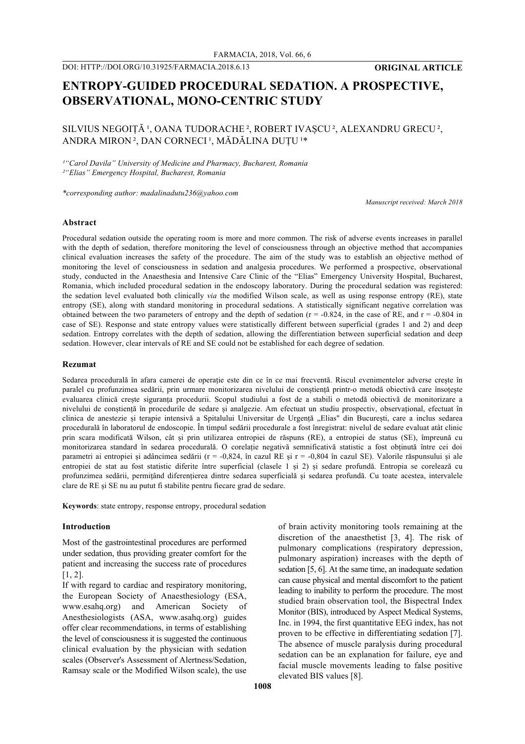# **ENTROPY-GUIDED PROCEDURAL SEDATION. A PROSPECTIVE, OBSERVATIONAL, MONO-CENTRIC STUDY**

# SILVIUS NEGOIȚĂ<sup>1</sup>, OANA TUDORACHE<sup>2</sup>, ROBERT IVAȘCU<sup>2</sup>, ALEXANDRU GRECU<sup>2</sup>, ANDRA MIRON<sup>2</sup>, DAN CORNECI<sup>1</sup>, MĂDĂLINA DUȚU<sup>1\*</sup>

*¹"Carol Davila" University of Medicine and Pharmacy, Bucharest, Romania ²"Elias" Emergency Hospital, Bucharest, Romania*

*\*corresponding author: madalinadutu236@yahoo.com*

*Manuscript received: March 2018*

#### **Abstract**

Procedural sedation outside the operating room is more and more common. The risk of adverse events increases in parallel with the depth of sedation, therefore monitoring the level of consciousness through an objective method that accompanies clinical evaluation increases the safety of the procedure. The aim of the study was to establish an objective method of monitoring the level of consciousness in sedation and analgesia procedures. We performed a prospective, observational study, conducted in the Anaesthesia and Intensive Care Clinic of the "Elias" Emergency University Hospital, Bucharest, Romania, which included procedural sedation in the endoscopy laboratory. During the procedural sedation was registered: the sedation level evaluated both clinically *via* the modified Wilson scale, as well as using response entropy (RE), state entropy (SE), along with standard monitoring in procedural sedations. A statistically significant negative correlation was obtained between the two parameters of entropy and the depth of sedation  $(r = -0.824)$ , in the case of RE, and  $r = -0.804$  in case of SE). Response and state entropy values were statistically different between superficial (grades 1 and 2) and deep sedation. Entropy correlates with the depth of sedation, allowing the differentiation between superficial sedation and deep sedation. However, clear intervals of RE and SE could not be established for each degree of sedation.

# **Rezumat**

Sedarea procedurală în afara camerei de operație este din ce în ce mai frecventă. Riscul evenimentelor adverse crește în paralel cu profunzimea sedării, prin urmare monitorizarea nivelului de conștiență printr-o metodă obiectivă care însoțește evaluarea clinică crește siguranța procedurii. Scopul studiului a fost de a stabili o metodă obiectivă de monitorizare a nivelului de conștiență în procedurile de sedare și analgezie. Am efectuat un studiu prospectiv, observațional, efectuat în clinica de anestezie și terapie intensivă a Spitalului Universitar de Urgență "Elias" din București, care a inclus sedarea procedurală în laboratorul de endoscopie. În timpul sedării procedurale a fost înregistrat: nivelul de sedare evaluat atât clinic prin scara modificată Wilson, cât și prin utilizarea entropiei de răspuns (RE), a entropiei de status (SE), împreună cu monitorizarea standard în sedarea procedurală. O corelație negativă semnificativă statistic a fost obținută între cei doi parametri ai entropiei și adâncimea sedării (r = -0,824, în cazul RE și r = -0,804 în cazul SE). Valorile răspunsului și ale entropiei de stat au fost statistic diferite între superficial (clasele 1 și 2) și sedare profundă. Entropia se corelează cu profunzimea sedării, permițând diferențierea dintre sedarea superficială și sedarea profundă. Cu toate acestea, intervalele clare de RE și SE nu au putut fi stabilite pentru fiecare grad de sedare.

**Keywords**: state entropy, response entropy, procedural sedation

# **Introduction**

Most of the gastrointestinal procedures are performed under sedation, thus providing greater comfort for the patient and increasing the success rate of procedures [1, 2].

If with regard to cardiac and respiratory monitoring, the European Society of Anaesthesiology (ESA, www.esahq.org) and American Society of Anesthesiologists (ASA, www.asahq.org) guides offer clear recommendations, in terms of establishing the level of consciousness it is suggested the continuous clinical evaluation by the physician with sedation scales (Observer's Assessment of Alertness/Sedation, Ramsay scale or the Modified Wilson scale), the use

of brain activity monitoring tools remaining at the discretion of the anaesthetist [3, 4]. The risk of pulmonary complications (respiratory depression, pulmonary aspiration) increases with the depth of sedation [5, 6]. At the same time, an inadequate sedation can cause physical and mental discomfort to the patient leading to inability to perform the procedure. The most studied brain observation tool, the Bispectral Index Monitor (BIS), introduced by Aspect Medical Systems, Inc. in 1994, the first quantitative EEG index, has not proven to be effective in differentiating sedation [7]. The absence of muscle paralysis during procedural sedation can be an explanation for failure, eye and facial muscle movements leading to false positive elevated BIS values [8].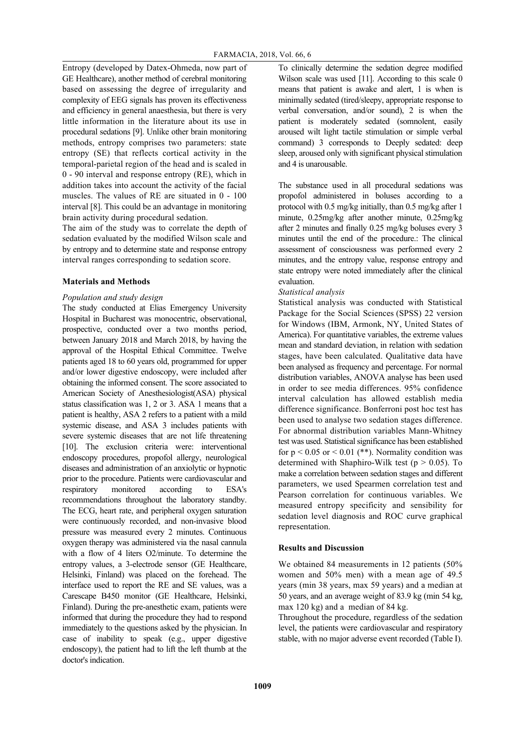Entropy (developed by Datex-Ohmeda, now part of GE Healthcare), another method of cerebral monitoring based on assessing the degree of irregularity and complexity of EEG signals has proven its effectiveness and efficiency in general anaesthesia, but there is very little information in the literature about its use in procedural sedations [9]. Unlike other brain monitoring methods, entropy comprises two parameters: state entropy (SE) that reflects cortical activity in the temporal-parietal region of the head and is scaled in 0 - 90 interval and response entropy (RE), which in addition takes into account the activity of the facial muscles. The values of RE are situated in 0 - 100 interval [8]. This could be an advantage in monitoring brain activity during procedural sedation.

The aim of the study was to correlate the depth of sedation evaluated by the modified Wilson scale and by entropy and to determine state and response entropy interval ranges corresponding to sedation score.

#### **Materials and Methods**

# *Population and study design*

The study conducted at Elias Emergency University Hospital in Bucharest was monocentric, observational, prospective, conducted over a two months period, between January 2018 and March 2018, by having the approval of the Hospital Ethical Committee. Twelve patients aged 18 to 60 years old, programmed for upper and/or lower digestive endoscopy, were included after obtaining the informed consent. The score associated to American Society of Anesthesiologist(ASA) physical status classification was 1, 2 or 3. ASA 1 means that a patient is healthy, ASA 2 refers to a patient with a mild systemic disease, and ASA 3 includes patients with severe systemic diseases that are not life threatening [10]. The exclusion criteria were: interventional endoscopy procedures, propofol allergy, neurological diseases and administration of an anxiolytic or hypnotic prior to the procedure. Patients were cardiovascular and respiratory monitored according to ESA's recommendations throughout the laboratory standby. The ECG, heart rate, and peripheral oxygen saturation were continuously recorded, and non-invasive blood pressure was measured every 2 minutes. Continuous oxygen therapy was administered via the nasal cannula with a flow of 4 liters O2/minute. To determine the entropy values, a 3-electrode sensor (GE Healthcare, Helsinki, Finland) was placed on the forehead. The interface used to report the RE and SE values, was a Carescape B450 monitor (GE Healthcare, Helsinki, Finland). During the pre-anesthetic exam, patients were informed that during the procedure they had to respond immediately to the questions asked by the physician. In case of inability to speak (e.g., upper digestive endoscopy), the patient had to lift the left thumb at the doctor's indication.

To clinically determine the sedation degree modified Wilson scale was used [11]. According to this scale 0 means that patient is awake and alert, 1 is when is minimally sedated (tired/sleepy, appropriate response to verbal conversation, and/or sound), 2 is when the patient is moderately sedated (somnolent, easily aroused wilt light tactile stimulation or simple verbal command) 3 corresponds to Deeply sedated: deep sleep, aroused only with significant physical stimulation and 4 is unarousable.

The substance used in all procedural sedations was propofol administered in boluses according to a protocol with 0.5 mg/kg initially, than 0.5 mg/kg after 1 minute, 0.25mg/kg after another minute, 0.25mg/kg after 2 minutes and finally 0.25 mg/kg boluses every 3 minutes until the end of the procedure.: The clinical assessment of consciousness was performed every 2 minutes, and the entropy value, response entropy and state entropy were noted immediately after the clinical evaluation.

## *Statistical analysis*

Statistical analysis was conducted with Statistical Package for the Social Sciences (SPSS) 22 version for Windows (IBM, Armonk, NY, United States of America). For quantitative variables, the extreme values mean and standard deviation, in relation with sedation stages, have been calculated. Qualitative data have been analysed as frequency and percentage. For normal distribution variables, ANOVA analyse has been used in order to see media differences. 95% confidence interval calculation has allowed establish media difference significance. Bonferroni post hoc test has been used to analyse two sedation stages difference. For abnormal distribution variables Mann-Whitney test was used. Statistical significance has been established for  $p < 0.05$  or  $< 0.01$  (\*\*). Normality condition was determined with Shaphiro-Wilk test ( $p > 0.05$ ). To make a correlation between sedation stages and different parameters, we used Spearmen correlation test and Pearson correlation for continuous variables. We measured entropy specificity and sensibility for sedation level diagnosis and ROC curve graphical representation.

## **Results and Discussion**

We obtained 84 measurements in 12 patients (50% women and 50% men) with a mean age of 49.5 years (min 38 years, max 59 years) and a median at 50 years, and an average weight of 83.9 kg (min 54 kg, max 120 kg) and a median of 84 kg.

Throughout the procedure, regardless of the sedation level, the patients were cardiovascular and respiratory stable, with no major adverse event recorded (Table I).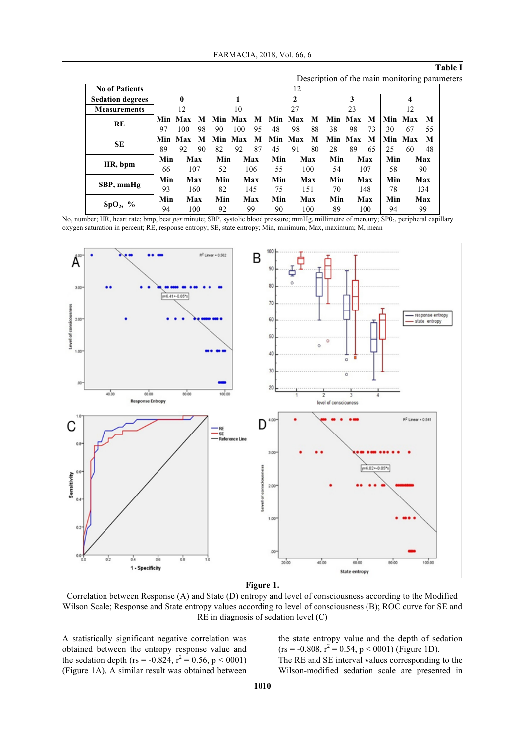**Table I**

| Description of the main monitoring parameters |  |  |
|-----------------------------------------------|--|--|

| <b>No of Patients</b>   |     |              |     |            |         |     |     | 12      |     |      |         |     |     |         |     |
|-------------------------|-----|--------------|-----|------------|---------|-----|-----|---------|-----|------|---------|-----|-----|---------|-----|
| <b>Sedation degrees</b> |     | $\mathbf{0}$ |     |            |         |     |     | 2       |     |      | 3       |     |     | 4       |     |
| <b>Measurements</b>     |     | 12           |     |            | 10      |     |     | 27      |     |      | 23      |     |     | 12      |     |
|                         |     | Min Max      | M   | <b>Min</b> | Max     | M   | Min | Max     | M   | Min. | Max     | M   | Min | Max     | M   |
| RE                      | 97  | 100          | 98  | 90         | 100     | 95  | 48  | 98      | 88  | 38   | 98      | 73  | 30  | 67      | 55  |
|                         |     | Min Max      | M   |            | Min Max | M   |     | Min Max | M   |      | Min Max | M   |     | Min Max | M   |
| SE                      | 89  | 92           | 90  | 82         | 92      | 87  | 45  | 91      | 80  | 28   | 89      | 65  | 25  | 60      | 48  |
|                         | Min |              | Max | Min        |         | Max | Min |         | Max | Min  |         | Max | Min |         | Max |
| HR, bpm                 | 66  |              | 107 | 52         |         | 106 | 55  |         | 100 | 54   |         | 107 | 58  |         | 90  |
|                         | Min |              | Max | Min        |         | Max | Min |         | Max | Min  |         | Max | Min |         | Max |
| SBP, mmHg               | 93  |              | 160 | 82         |         | 145 | 75  |         | 151 | 70   |         | 148 | 78  |         | 134 |
|                         | Min |              | Max | Min        |         | Max | Min |         | Max | Min  |         | Max | Min |         | Max |
| $SpO_2$ , %             | 94  |              | 100 | 92         |         | 99  | 90  |         | 100 | 89   |         | 100 | 94  |         | 99  |

No, number; HR, heart rate; bmp, beat *per* minute; SBP, systolic blood pressure; mmHg, millimetre of mercury; SP0<sub>2</sub>, peripheral capillary oxygen saturation in percent; RE, response entropy; SE, state entropy; Min, minimum; Max, maximum; M, mean



**Figure 1.**

Correlation between Response (A) and State (D) entropy and level of consciousness according to the Modified Wilson Scale; Response and State entropy values according to level of consciousness (B); ROC curve for SE and RE in diagnosis of sedation level (C)

A statistically significant negative correlation was obtained between the entropy response value and the sedation depth (rs = -0.824,  $r^2 = 0.56$ , p < 0001) (Figure 1A). A similar result was obtained between

the state entropy value and the depth of sedation  $(rs = -0.808, r^2 = 0.54, p < 0.001)$  (Figure 1D). The RE and SE interval values corresponding to the Wilson-modified sedation scale are presented in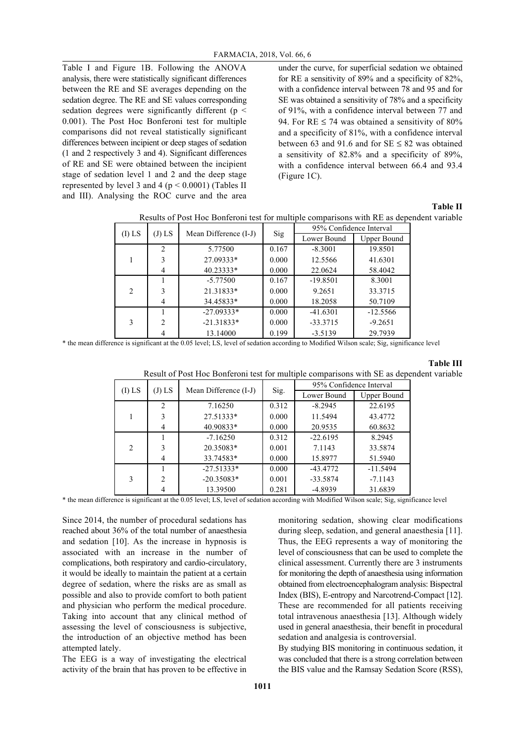Table I and Figure 1B. Following the ANOVA analysis, there were statistically significant differences between the RE and SE averages depending on the sedation degree. The RE and SE values corresponding sedation degrees were significantly different ( $p \leq$ 0.001). The Post Hoc Bonferoni test for multiple comparisons did not reveal statistically significant differences between incipient or deep stages of sedation (1 and 2 respectively 3 and 4). Significant differences of RE and SE were obtained between the incipient stage of sedation level 1 and 2 and the deep stage represented by level 3 and 4 ( $p < 0.0001$ ) (Tables II and III). Analysing the ROC curve and the area

under the curve, for superficial sedation we obtained for RE a sensitivity of 89% and a specificity of 82%, with a confidence interval between 78 and 95 and for SE was obtained a sensitivity of 78% and a specificity of 91%, with a confidence interval between 77 and 94. For RE  $\leq$  74 was obtained a sensitivity of 80% and a specificity of 81%, with a confidence interval between 63 and 91.6 and for  $SE \le 82$  was obtained a sensitivity of 82.8% and a specificity of 89%, with a confidence interval between 66.4 and 93.4 (Figure 1C).

#### **Table II**

| Results of Post Hoc Bonferoni test for multiple comparisons with RE as dependent variable |
|-------------------------------------------------------------------------------------------|
|-------------------------------------------------------------------------------------------|

| $(J)$ LS<br>(I) LS |                | Mean Difference (I-J) |       | 95% Confidence Interval |                    |  |  |
|--------------------|----------------|-----------------------|-------|-------------------------|--------------------|--|--|
|                    |                |                       | Sig   | Lower Bound             | <b>Upper Bound</b> |  |  |
|                    | $\overline{2}$ | 5.77500               | 0.167 | $-8.3001$               | 19.8501            |  |  |
|                    | 3              | 27.09333*             | 0.000 | 12.5566                 | 41.6301            |  |  |
|                    | 4              | 40.23333*             | 0.000 | 22.0624                 | 58.4042            |  |  |
|                    |                | $-5.77500$            | 0.167 | $-19.8501$              | 8.3001             |  |  |
| $\overline{2}$     | 3              | 21.31833*             | 0.000 | 9.2651                  | 33.3715            |  |  |
|                    | 4              | 34.45833*             | 0.000 | 18.2058                 | 50.7109            |  |  |
|                    |                | $-27.09333*$          | 0.000 | $-41.6301$              | $-12.5566$         |  |  |
| 3                  | $\overline{2}$ | $-21.31833*$          | 0.000 | $-33.3715$              | $-9.2651$          |  |  |
|                    |                | 13.14000              | 0.199 | $-3.5139$               | 29.7939            |  |  |

\* the mean difference is significant at the 0.05 level; LS, level of sedation according to Modified Wilson scale; Sig, significance level

# **Table III**

| Result of Post Hoc Bonferoni test for multiple comparisons with SE as dependent variable |
|------------------------------------------------------------------------------------------|
|------------------------------------------------------------------------------------------|

| (I) LS<br>$(J)$ LS |                | Mean Difference (I-J) | Sig.  | 95% Confidence Interval |                    |  |  |
|--------------------|----------------|-----------------------|-------|-------------------------|--------------------|--|--|
|                    |                |                       |       | Lower Bound             | <b>Upper Bound</b> |  |  |
|                    | 2              | 7.16250               | 0.312 | $-8.2945$               | 22.6195            |  |  |
|                    | 3              | 27.51333*             | 0.000 | 11.5494                 | 43.4772            |  |  |
|                    | 4              | 40.90833*             | 0.000 | 20.9535                 | 60.8632            |  |  |
|                    |                | $-7.16250$            | 0.312 | $-22.6195$              | 8.2945             |  |  |
| $\overline{2}$     | 3              | 20.35083*             | 0.001 | 7.1143                  | 33.5874            |  |  |
|                    | 4              | 33.74583*             | 0.000 | 15.8977                 | 51.5940            |  |  |
|                    |                | $-27.51333*$          | 0.000 | $-43.4772$              | $-11.5494$         |  |  |
| 3                  | $\overline{2}$ | $-20.35083*$          | 0.001 | $-33.5874$              | $-7.1143$          |  |  |
|                    | 4              | 13.39500              | 0.281 | $-4.8939$               | 31.6839            |  |  |

\* the mean difference is significant at the 0.05 level; LS, level of sedation according with Modified Wilson scale; Sig, significance level

Since 2014, the number of procedural sedations has reached about 36% of the total number of anaesthesia and sedation [10]. As the increase in hypnosis is associated with an increase in the number of complications, both respiratory and cardio-circulatory, it would be ideally to maintain the patient at a certain degree of sedation, where the risks are as small as possible and also to provide comfort to both patient and physician who perform the medical procedure. Taking into account that any clinical method of assessing the level of consciousness is subjective, the introduction of an objective method has been attempted lately.

The EEG is a way of investigating the electrical activity of the brain that has proven to be effective in monitoring sedation, showing clear modifications during sleep, sedation, and general anaesthesia [11]. Thus, the EEG represents a way of monitoring the level of consciousness that can be used to complete the clinical assessment. Currently there are 3 instruments for monitoring the depth of anaesthesia using information obtained from electroencephalogram analysis: Bispectral Index (BIS), E-entropy and Narcotrend-Compact [12]. These are recommended for all patients receiving total intravenous anaesthesia [13]. Although widely used in general anaesthesia, their benefit in procedural sedation and analgesia is controversial.

By studying BIS monitoring in continuous sedation, it was concluded that there is a strong correlation between the BIS value and the Ramsay Sedation Score (RSS),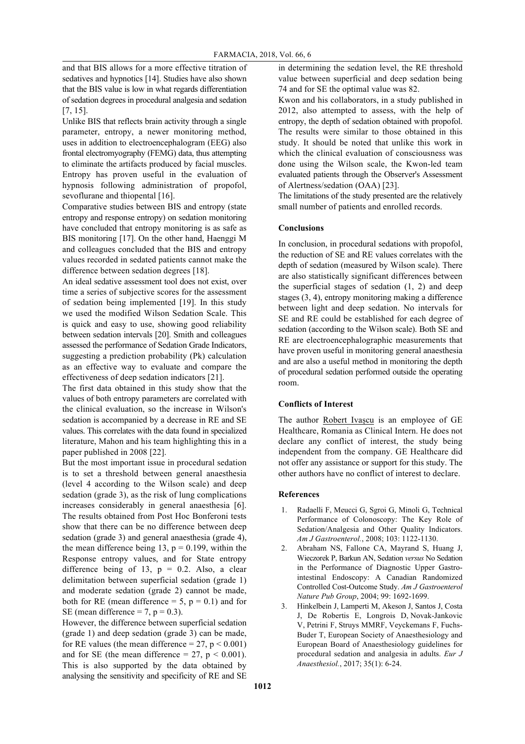and that BIS allows for a more effective titration of sedatives and hypnotics [14]. Studies have also shown that the BIS value is low in what regards differentiation of sedation degrees in procedural analgesia and sedation [7, 15].

Unlike BIS that reflects brain activity through a single parameter, entropy, a newer monitoring method, uses in addition to electroencephalogram (EEG) also frontal electromyography (FEMG) data, thus attempting to eliminate the artifacts produced by facial muscles. Entropy has proven useful in the evaluation of hypnosis following administration of propofol, sevoflurane and thiopental [16].

Comparative studies between BIS and entropy (state entropy and response entropy) on sedation monitoring have concluded that entropy monitoring is as safe as BIS monitoring [17]. On the other hand, Haenggi M and colleagues concluded that the BIS and entropy values recorded in sedated patients cannot make the difference between sedation degrees [18].

An ideal sedative assessment tool does not exist, over time a series of subjective scores for the assessment of sedation being implemented [19]. In this study we used the modified Wilson Sedation Scale. This is quick and easy to use, showing good reliability between sedation intervals [20]. Smith and colleagues assessed the performance of Sedation Grade Indicators, suggesting a prediction probability (Pk) calculation as an effective way to evaluate and compare the effectiveness of deep sedation indicators [21].

The first data obtained in this study show that the values of both entropy parameters are correlated with the clinical evaluation, so the increase in Wilson's sedation is accompanied by a decrease in RE and SE values. This correlates with the data found in specialized literature, Mahon and his team highlighting this in a paper published in 2008 [22].

But the most important issue in procedural sedation is to set a threshold between general anaesthesia (level 4 according to the Wilson scale) and deep sedation (grade 3), as the risk of lung complications increases considerably in general anaesthesia [6]. The results obtained from Post Hoc Bonferoni tests show that there can be no difference between deep sedation (grade 3) and general anaesthesia (grade 4), the mean difference being 13,  $p = 0.199$ , within the Response entropy values, and for State entropy difference being of 13,  $p = 0.2$ . Also, a clear delimitation between superficial sedation (grade 1) and moderate sedation (grade 2) cannot be made, both for RE (mean difference  $= 5$ ,  $p = 0.1$ ) and for SE (mean difference  $= 7$ ,  $p = 0.3$ ).

However, the difference between superficial sedation (grade 1) and deep sedation (grade 3) can be made, for RE values (the mean difference  $= 27$ ,  $p < 0.001$ ) and for SE (the mean difference  $= 27$ ,  $p < 0.001$ ). This is also supported by the data obtained by analysing the sensitivity and specificity of RE and SE

in determining the sedation level, the RE threshold value between superficial and deep sedation being 74 and for SE the optimal value was 82.

Kwon and his collaborators, in a study published in 2012, also attempted to assess, with the help of entropy, the depth of sedation obtained with propofol. The results were similar to those obtained in this study. It should be noted that unlike this work in which the clinical evaluation of consciousness was done using the Wilson scale, the Kwon-led team evaluated patients through the Observer's Assessment of Alertness/sedation (OAA) [23].

The limitations of the study presented are the relatively small number of patients and enrolled records.

#### **Conclusions**

In conclusion, in procedural sedations with propofol, the reduction of SE and RE values correlates with the depth of sedation (measured by Wilson scale). There are also statistically significant differences between the superficial stages of sedation (1, 2) and deep stages (3, 4), entropy monitoring making a difference between light and deep sedation. No intervals for SE and RE could be established for each degree of sedation (according to the Wilson scale). Both SE and RE are electroencephalographic measurements that have proven useful in monitoring general anaesthesia and are also a useful method in monitoring the depth of procedural sedation performed outside the operating room.

#### **Conflicts of Interest**

The author Robert Ivașcu is an employee of GE Healthcare, Romania as Clinical Intern. He does not declare any conflict of interest, the study being independent from the company. GE Healthcare did not offer any assistance or support for this study. The other authors have no conflict of interest to declare.

#### **References**

- 1. Radaelli F, Meucci G, Sgroi G, Minoli G, Technical Performance of Colonoscopy: The Key Role of Sedation/Analgesia and Other Quality Indicators. *Am J Gastroenterol.*, 2008; 103: 1122-1130.
- 2. Abraham NS, Fallone CA, Mayrand S, Huang J, Wieczorek P, Barkun AN, Sedation *versus* No Sedation in the Performance of Diagnostic Upper Gastrointestinal Endoscopy: A Canadian Randomized Controlled Cost-Outcome Study. *Am J Gastroenterol Nature Pub Group*, 2004; 99: 1692-1699.
- 3. Hinkelbein J, Lamperti M, Akeson J, Santos J, Costa J, De Robertis E, Longrois D, Novak-Jankovic V, Petrini F, Struys MMRF, Veyckemans F, Fuchs-Buder T, European Society of Anaesthesiology and European Board of Anaesthesiology guidelines for procedural sedation and analgesia in adults. *Eur J Anaesthesiol.*, 2017; 35(1): 6-24.